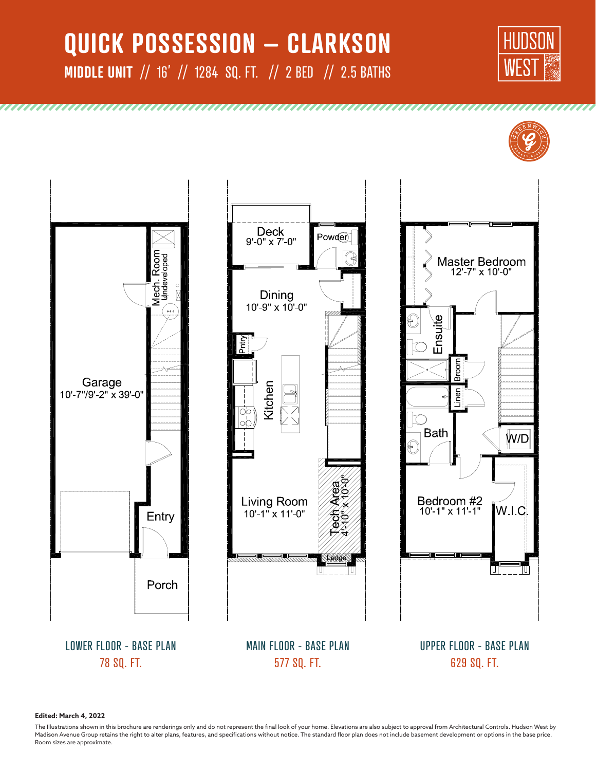# **QUICK POSSESSION – CLARKSON MIDDLE UNIT** // 16' // 1284 SQ. FT. // 2 BED // 2.5 BATHS











UPPER FLOOR - BASE PLAN 629 SQ. FT.

**Edited: March 4, 2022**

78 SQ. FT.

The Illustrations shown in this brochure are renderings only and do not represent the final look of your home. Elevations are also subject to approval from Architectural Controls. Hudson West by Madison Avenue Group retains the right to alter plans, features, and specifications without notice. The standard floor plan does not include basement development or options in the base price. Room sizes are approximate.

577 SQ. FT.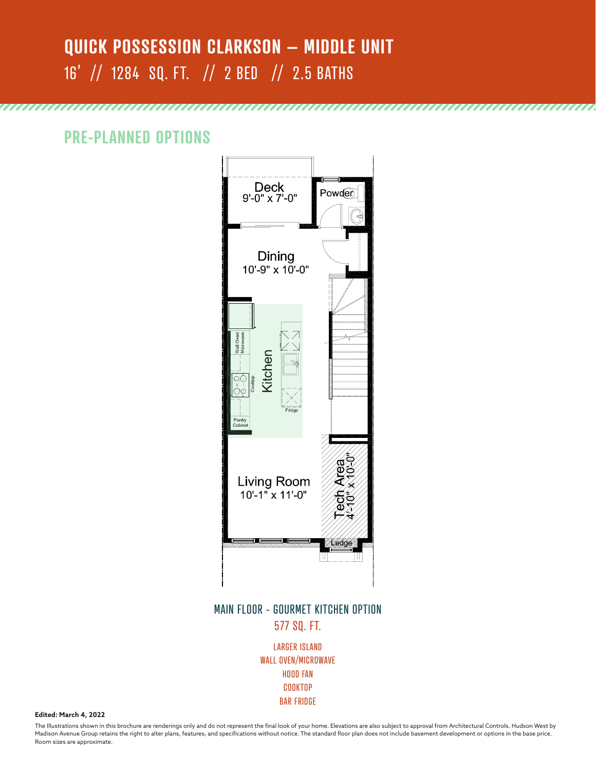## **QUICK POSSESSION CLARKSON – MIDDLE UNIT** 16' // 1284 SQ. FT. // 2 BED // 2.5 BATHS

**PRE-PLANNED OPTIONS**



,,,,,,,,,,,,,,,,,,,,

#### MAIN FLOOR - GOURMET KITCHEN OPTION 577 SQ. FT.

LARGER ISLAND WALL OVEN/MICROWAVE HOOD FAN COOKTOP BAR FRIDGE

**Edited: March 4, 2022**

The Illustrations shown in this brochure are renderings only and do not represent the final look of your home. Elevations are also subject to approval from Architectural Controls. Hudson West by Madison Avenue Group retains the right to alter plans, features, and specifications without notice. The standard floor plan does not include basement development or options in the base price. Room sizes are approximate.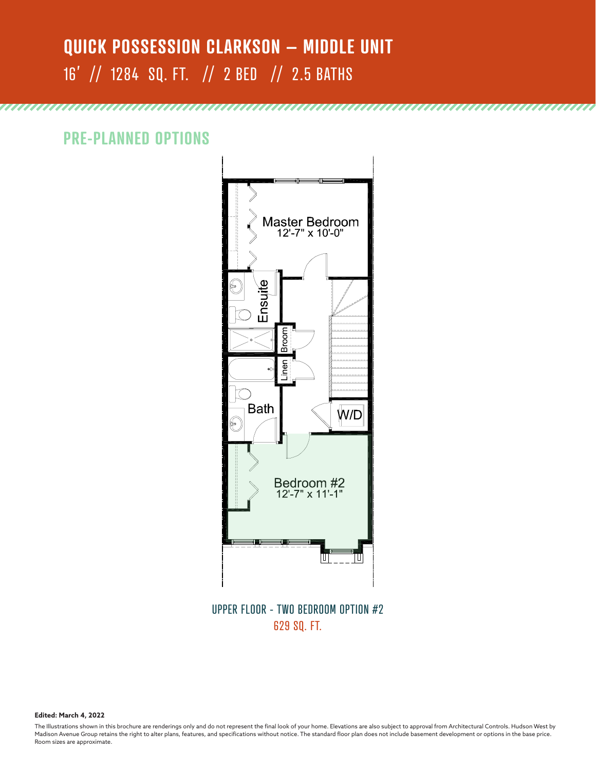# **QUICK POSSESSION CLARKSON – MIDDLE UNIT** 16' // 1284 SQ. FT. // 2 BED // 2.5 BATHS

unnununununununununununununununununun

**PRE-PLANNED OPTIONS**



UPPER FLOOR - TWO BEDROOM OPTION #2 629 SQ. FT.

**Edited: March 4, 2022**

The Illustrations shown in this brochure are renderings only and do not represent the final look of your home. Elevations are also subject to approval from Architectural Controls. Hudson West by Madison Avenue Group retains the right to alter plans, features, and specifications without notice. The standard floor plan does not include basement development or options in the base price. Room sizes are approximate.